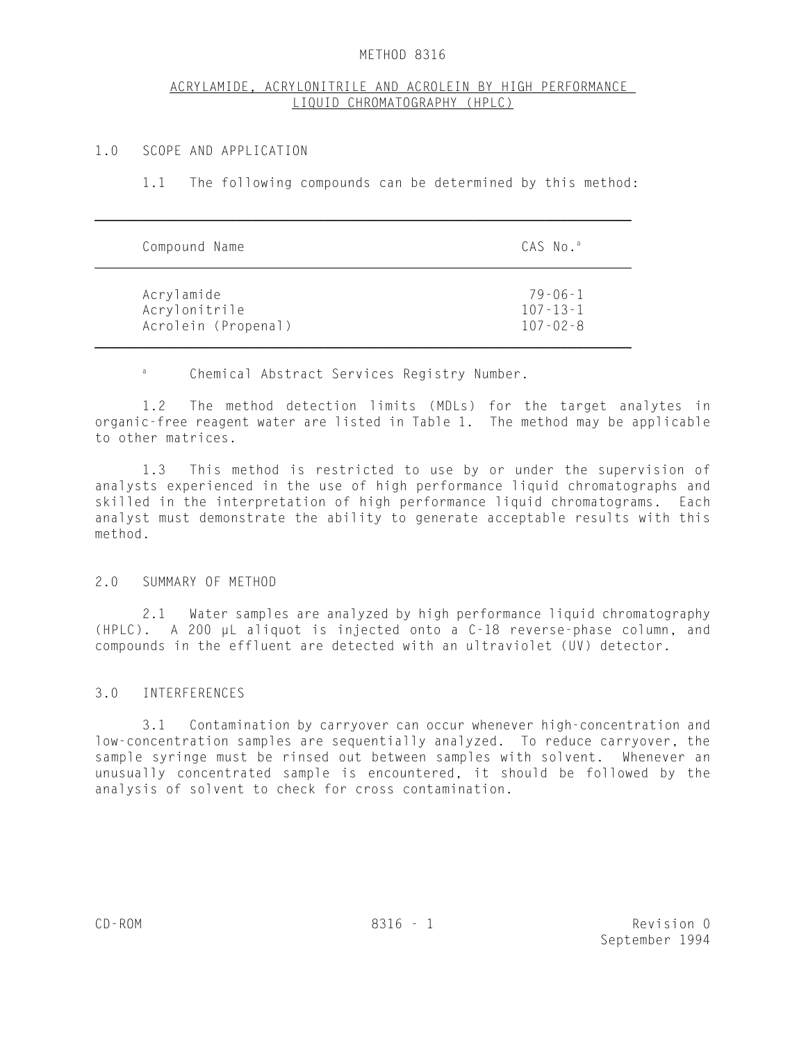#### METHOD 8316

## ACRYLAMIDE, ACRYLONITRILE AND ACROLEIN BY HIGH PERFORMANCE LIQUID CHROMATOGRAPHY (HPLC)

### 1.0 SCOPE AND APPLICATION

1.1 The following compounds can be determined by this method:

| Compound Name       | CAS No.ª       |
|---------------------|----------------|
| Acrylamide          | $79 - 06 - 1$  |
| Acrylonitrile       | $107 - 13 - 1$ |
| Acrolein (Propenal) | $107 - 02 - 8$ |

<sup>a</sup> Chemical Abstract Services Registry Number.

1.2 The method detection limits (MDLs) for the target analytes in organic-free reagent water are listed in Table 1. The method may be applicable to other matrices.

1.3 This method is restricted to use by or under the supervision of analysts experienced in the use of high performance liquid chromatographs and skilled in the interpretation of high performance liquid chromatograms. Each analyst must demonstrate the ability to generate acceptable results with this method.

#### 2.0 SUMMARY OF METHOD

2.1 Water samples are analyzed by high performance liquid chromatography (HPLC). A 200 µL aliquot is injected onto a C-18 reverse-phase column, and compounds in the effluent are detected with an ultraviolet (UV) detector.

#### 3.0 INTERFERENCES

3.1 Contamination by carryover can occur whenever high-concentration and low-concentration samples are sequentially analyzed. To reduce carryover, the sample syringe must be rinsed out between samples with solvent. Whenever an unusually concentrated sample is encountered, it should be followed by the analysis of solvent to check for cross contamination.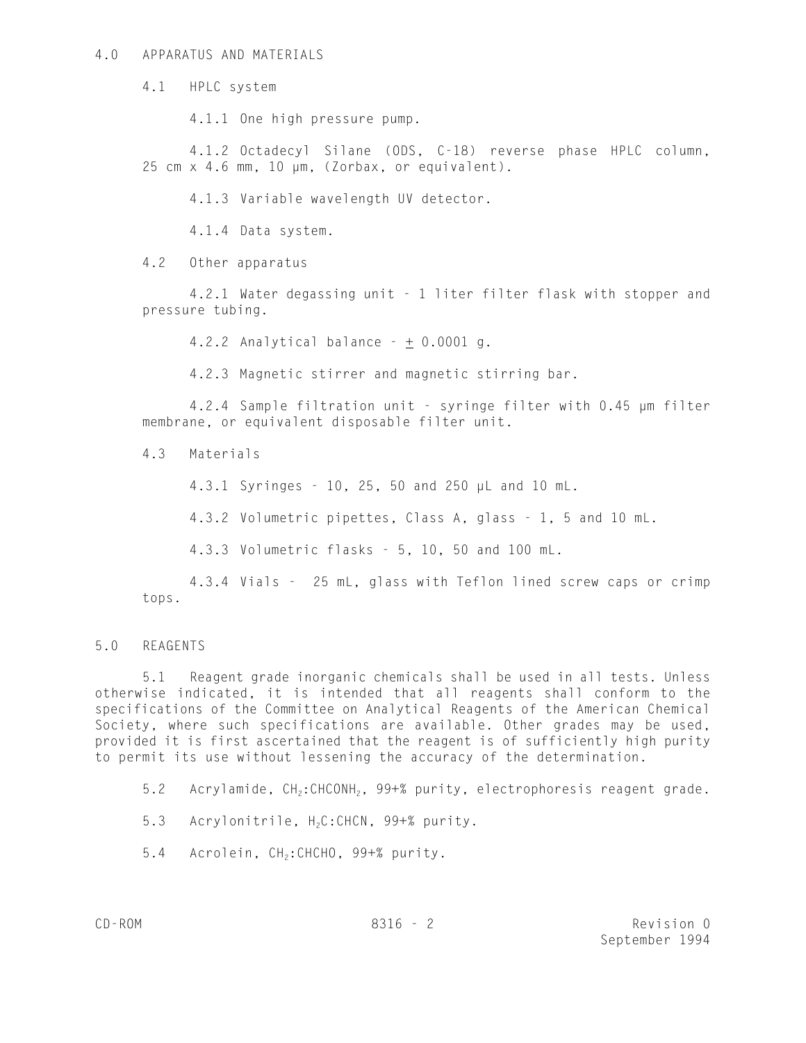#### 4.0 APPARATUS AND MATERIALS

4.1 HPLC system

4.1.1 One high pressure pump.

4.1.2 Octadecyl Silane (ODS, C-18) reverse phase HPLC column, 25 cm x 4.6 mm, 10 µm, (Zorbax, or equivalent).

4.1.3 Variable wavelength UV detector.

4.1.4 Data system.

4.2 Other apparatus

4.2.1 Water degassing unit - 1 liter filter flask with stopper and pressure tubing.

4.2.2 Analytical balance  $- + 0.0001$  g.

4.2.3 Magnetic stirrer and magnetic stirring bar.

4.2.4 Sample filtration unit - syringe filter with 0.45 µm filter membrane, or equivalent disposable filter unit.

4.3 Materials

4.3.1 Syringes - 10, 25, 50 and 250 µL and 10 mL.

4.3.2 Volumetric pipettes, Class A, glass - 1, 5 and 10 mL.

4.3.3 Volumetric flasks - 5, 10, 50 and 100 mL.

4.3.4 Vials - 25 mL, glass with Teflon lined screw caps or crimp tops.

# 5.0 REAGENTS

5.1 Reagent grade inorganic chemicals shall be used in all tests. Unless otherwise indicated, it is intended that all reagents shall conform to the specifications of the Committee on Analytical Reagents of the American Chemical Society, where such specifications are available. Other grades may be used, provided it is first ascertained that the reagent is of sufficiently high purity to permit its use without lessening the accuracy of the determination.

5.2 Acrylamide, CH<sub>2</sub>:CHCONH<sub>2</sub>, 99+% purity, electrophoresis reagent grade.

5.3 Acrylonitrile, H<sub>2</sub>C:CHCN, 99+% purity.

5.4 Acrolein, CH<sub>2</sub>: CHCHO, 99+% purity.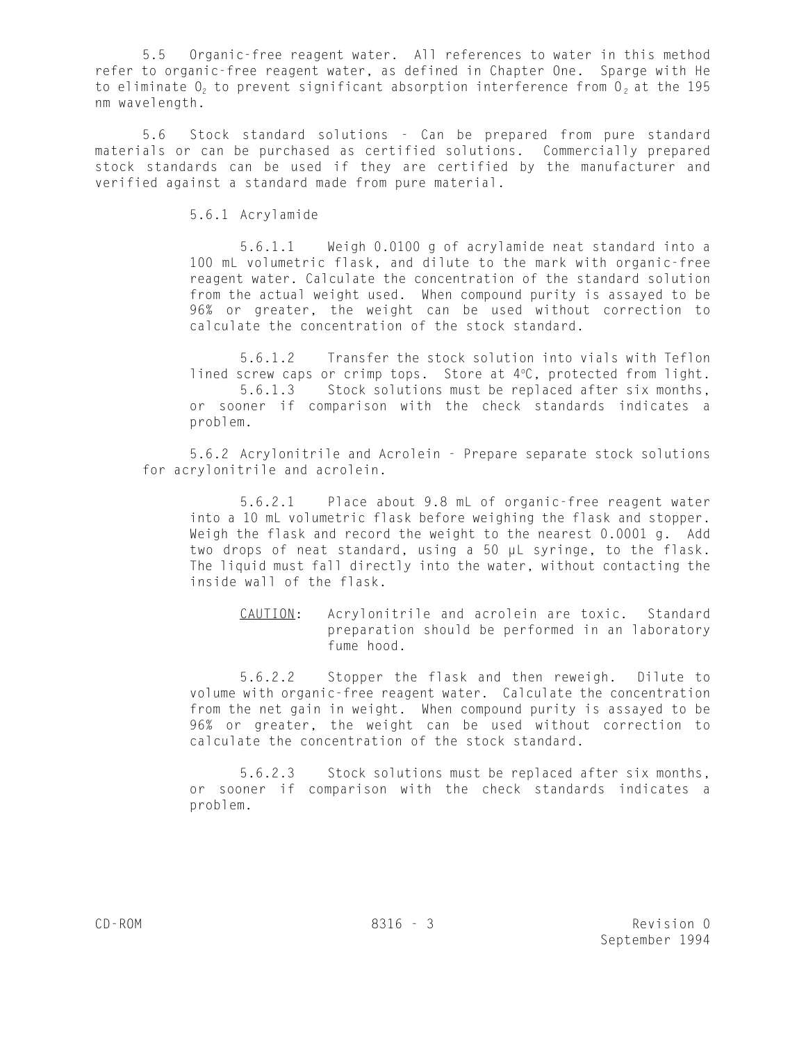5.5 Organic-free reagent water. All references to water in this method refer to organic-free reagent water, as defined in Chapter One. Sparge with He to eliminate  $0<sub>2</sub>$  to prevent significant absorption interference from  $0<sub>2</sub>$  at the 195 nm wavelength.

5.6 Stock standard solutions - Can be prepared from pure standard materials or can be purchased as certified solutions. Commercially prepared stock standards can be used if they are certified by the manufacturer and verified against a standard made from pure material.

5.6.1 Acrylamide

5.6.1.1 Weigh 0.0100 g of acrylamide neat standard into a 100 mL volumetric flask, and dilute to the mark with organic-free reagent water. Calculate the concentration of the standard solution from the actual weight used. When compound purity is assayed to be 96% or greater, the weight can be used without correction to calculate the concentration of the stock standard.

5.6.1.2 Transfer the stock solution into vials with Teflon lined screw caps or crimp tops. Store at  $4^{\circ}$ C, protected from light. 5.6.1.3 Stock solutions must be replaced after six months, or sooner if comparison with the check standards indicates a problem.

5.6.2 Acrylonitrile and Acrolein - Prepare separate stock solutions for acrylonitrile and acrolein.

5.6.2.1 Place about 9.8 mL of organic-free reagent water into a 10 mL volumetric flask before weighing the flask and stopper. Weigh the flask and record the weight to the nearest 0.0001 g. Add two drops of neat standard, using a 50 µL syringe, to the flask. The liquid must fall directly into the water, without contacting the inside wall of the flask.

CAUTION: Acrylonitrile and acrolein are toxic. Standard preparation should be performed in an laboratory fume hood.

5.6.2.2 Stopper the flask and then reweigh. Dilute to volume with organic-free reagent water. Calculate the concentration from the net gain in weight. When compound purity is assayed to be 96% or greater, the weight can be used without correction to calculate the concentration of the stock standard.

5.6.2.3 Stock solutions must be replaced after six months, or sooner if comparison with the check standards indicates a problem.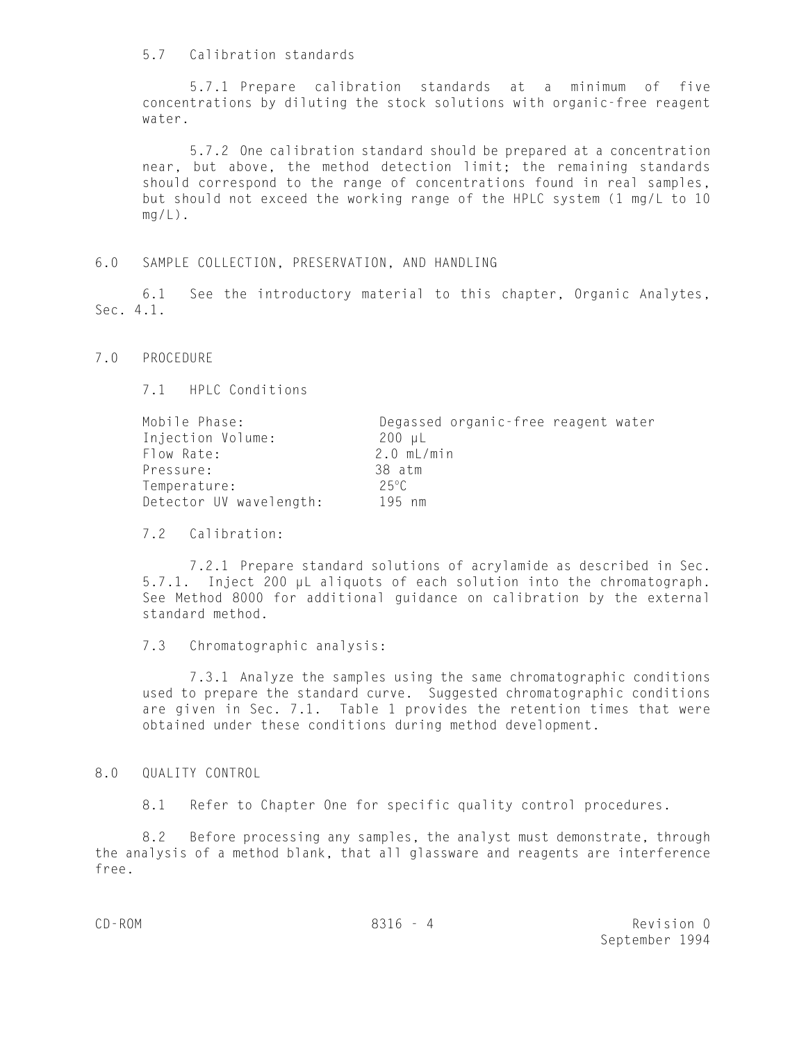#### 5.7 Calibration standards

5.7.1 Prepare calibration standards at a minimum of five concentrations by diluting the stock solutions with organic-free reagent water.

5.7.2 One calibration standard should be prepared at a concentration near, but above, the method detection limit; the remaining standards should correspond to the range of concentrations found in real samples, but should not exceed the working range of the HPLC system (1 mg/L to 10  $mq/L$ ).

#### 6.0 SAMPLE COLLECTION, PRESERVATION, AND HANDLING

6.1 See the introductory material to this chapter, Organic Analytes, Sec. 4.1.

7.0 PROCEDURE

7.1 HPLC Conditions

| Mobile Phase:           | Degassed organic-free reagent water |  |  |  |
|-------------------------|-------------------------------------|--|--|--|
| Injection Volume:       | 200 µL                              |  |  |  |
| Flow Rate:              | $2.0$ mL/min                        |  |  |  |
| Pressure:               | 38 atm                              |  |  |  |
| Temperature:            | 25°C                                |  |  |  |
| Detector UV wavelength: | 195 nm                              |  |  |  |

7.2 Calibration:

7.2.1 Prepare standard solutions of acrylamide as described in Sec. 5.7.1. Inject 200 µL aliquots of each solution into the chromatograph. See Method 8000 for additional guidance on calibration by the external standard method.

## 7.3 Chromatographic analysis:

7.3.1 Analyze the samples using the same chromatographic conditions used to prepare the standard curve. Suggested chromatographic conditions are given in Sec. 7.1. Table 1 provides the retention times that were obtained under these conditions during method development.

#### 8.0 QUALITY CONTROL

8.1 Refer to Chapter One for specific quality control procedures.

8.2 Before processing any samples, the analyst must demonstrate, through the analysis of a method blank, that all glassware and reagents are interference free.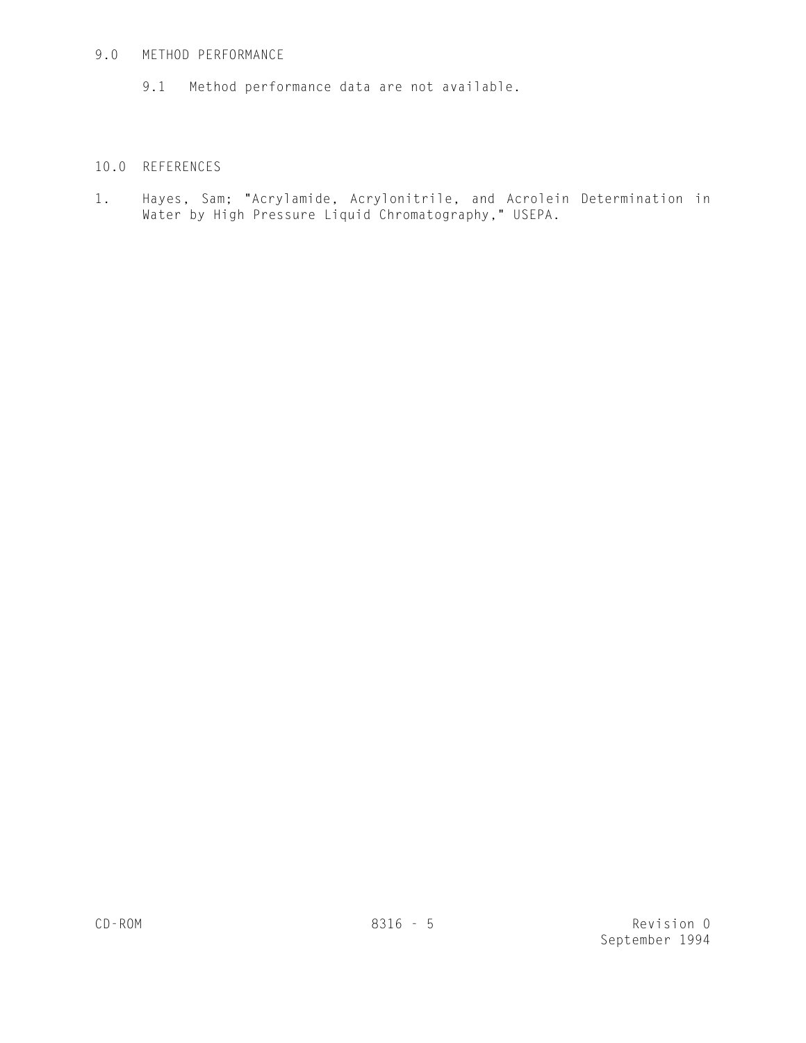## 9.0 METHOD PERFORMANCE

9.1 Method performance data are not available.

# 10.0 REFERENCES

1. Hayes, Sam; "Acrylamide, Acrylonitrile, and Acrolein Determination in Water by High Pressure Liquid Chromatography," USEPA.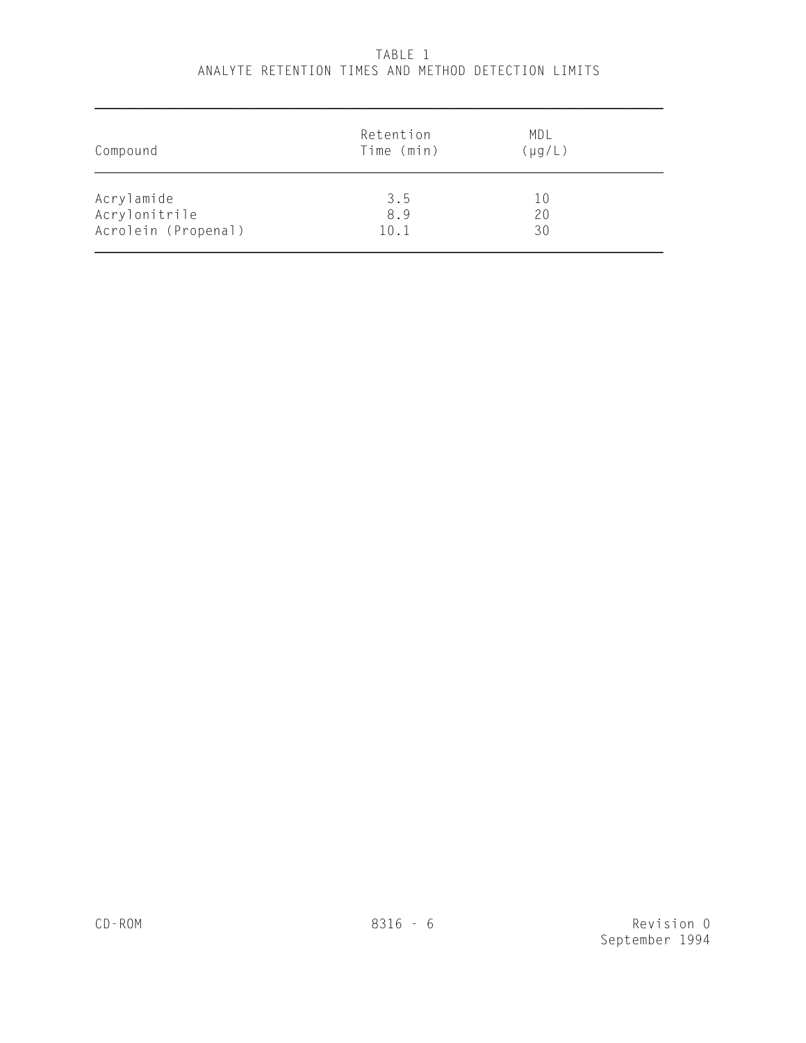| Compound            | Retention<br>Time (min) | MDL<br>$(\mu g/L)$ |  |
|---------------------|-------------------------|--------------------|--|
| Acrylamide          | 3.5                     | 10                 |  |
| Acrylonitrile       | 8.9                     | 20                 |  |
| Acrolein (Propenal) | 10.1                    | 30                 |  |

# TABLE 1 ANALYTE RETENTION TIMES AND METHOD DETECTION LIMITS